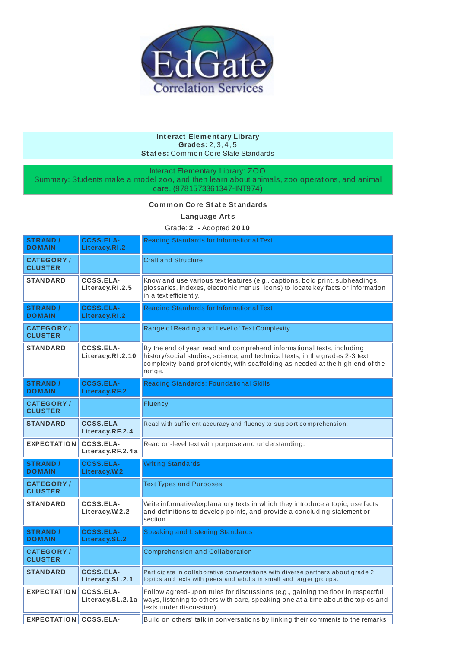

## **Int eract Element ary Library Grades:** 2, 3, 4, 5 **St at es:** Common Core State Standards

Interact Elementary Library: ZOO

Summary: Students make a model zoo, and then learn about animals, zoo operations, and animal care. (9781573361347-INT974)

## **Common Core St at e St andards**

**Language Art s**

Grade: **2** - Adopted **2010**

| <b>STRAND /</b><br><b>DOMAIN</b>   | <b>CCSS.ELA-</b><br>Literacy.RI.2    | Reading Standards for Informational Text                                                                                                                                                                                                            |  |
|------------------------------------|--------------------------------------|-----------------------------------------------------------------------------------------------------------------------------------------------------------------------------------------------------------------------------------------------------|--|
| <b>CATEGORY/</b><br><b>CLUSTER</b> |                                      | <b>Craft and Structure</b>                                                                                                                                                                                                                          |  |
| <b>STANDARD</b>                    | CCSS.ELA-<br>Literacy.RI.2.5         | Know and use various text features (e.g., captions, bold print, subheadings,<br>glossaries, indexes, electronic menus, icons) to locate key facts or information<br>in a text efficiently.                                                          |  |
| <b>STRAND /</b><br><b>DOMAIN</b>   | <b>CCSS.ELA-</b><br>Literacy.RI.2    | Reading Standards for Informational Text                                                                                                                                                                                                            |  |
| <b>CATEGORY/</b><br><b>CLUSTER</b> |                                      | Range of Reading and Level of Text Complexity                                                                                                                                                                                                       |  |
| <b>STANDARD</b>                    | CCSS.ELA-<br>Literacy.RI.2.10        | By the end of year, read and comprehend informational texts, including<br>history/social studies, science, and technical texts, in the grades 2-3 text<br>complexity band proficiently, with scaffolding as needed at the high end of the<br>range. |  |
| <b>STRAND /</b><br><b>DOMAIN</b>   | <b>CCSS.ELA-</b><br>Literacy.RF.2    | <b>Reading Standards: Foundational Skills</b>                                                                                                                                                                                                       |  |
| <b>CATEGORY/</b><br><b>CLUSTER</b> |                                      | Fluency                                                                                                                                                                                                                                             |  |
| <b>STANDARD</b>                    | <b>CCSS.ELA-</b><br>Literacy.RF.2.4  | Read with sufficient accuracy and fluency to support comprehension.                                                                                                                                                                                 |  |
| <b>EXPECTATION</b>                 | <b>CCSS.ELA-</b><br>Literacy.RF.2.4a | Read on-level text with purpose and understanding.                                                                                                                                                                                                  |  |
| <b>STRAND /</b><br><b>DOMAIN</b>   | <b>CCSS.ELA-</b><br>Literacy. W.2    | <b>Writing Standards</b>                                                                                                                                                                                                                            |  |
| <b>CATEGORY/</b><br><b>CLUSTER</b> |                                      | <b>Text Types and Purposes</b>                                                                                                                                                                                                                      |  |
| <b>STANDARD</b>                    | <b>CCSS.ELA-</b><br>Literacy.W.2.2   | Write informative/explanatory texts in which they introduce a topic, use facts<br>and definitions to develop points, and provide a concluding statement or<br>section.                                                                              |  |
| <b>STRAND /</b><br><b>DOMAIN</b>   | <b>CCSS.ELA-</b><br>Literacy.SL.2    | Speaking and Listening Standards                                                                                                                                                                                                                    |  |
| <b>CATEGORY/</b><br><b>CLUSTER</b> |                                      | <b>Comprehension and Collaboration</b>                                                                                                                                                                                                              |  |
| <b>STANDARD</b>                    | <b>CCSS.ELA-</b><br>Literacy.SL.2.1  | Participate in collaborative conversations with diverse partners about grade 2<br>topics and texts with peers and adults in small and larger groups.                                                                                                |  |
| <b>EXPECTATION</b>                 | <b>CCSS.ELA-</b><br>Literacy.SL.2.1a | Follow agreed-upon rules for discussions (e.g., gaining the floor in respectful<br>ways, listening to others with care, speaking one at a time about the topics and<br>texts under discussion).                                                     |  |
| <b>EXPECTATION CCSS.ELA-</b>       |                                      | Build on others' talk in conversations by linking their comments to the remarks                                                                                                                                                                     |  |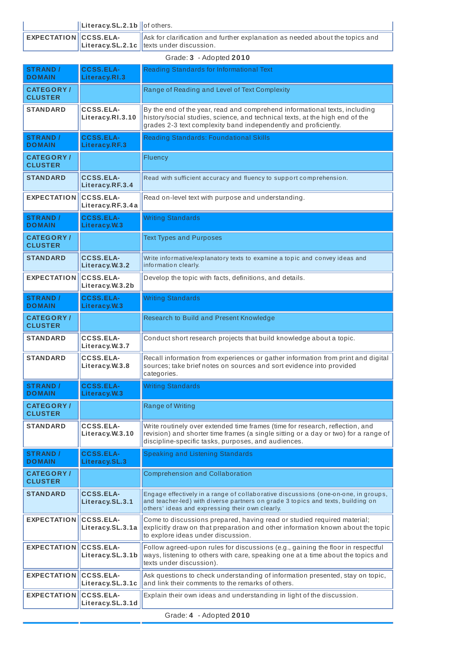|                         | $\ $ Literacy.SL.2.1b $\ $ of others. |                                                                                                                                                |
|-------------------------|---------------------------------------|------------------------------------------------------------------------------------------------------------------------------------------------|
| EXPECTATION CCSS.ELA-   |                                       | $\parallel$ Ask for clarification and further explanation as needed about the topics and<br>$\ $ Literacy.SL.2.1c $\ $ texts under discussion. |
| Grade: 3 - Adopted 2010 |                                       |                                                                                                                                                |

| <b>STRAND /</b><br><b>DOMAIN</b>   | <b>CCSS.ELA-</b><br>Literacy.RI.3    | Reading Standards for Informational Text                                                                                                                                                                                      |  |
|------------------------------------|--------------------------------------|-------------------------------------------------------------------------------------------------------------------------------------------------------------------------------------------------------------------------------|--|
| <b>CATEGORY/</b><br><b>CLUSTER</b> |                                      | Range of Reading and Level of Text Complexity                                                                                                                                                                                 |  |
| <b>STANDARD</b>                    | <b>CCSS.ELA-</b><br>Literacy.RI.3.10 | By the end of the year, read and comprehend informational texts, including<br>history/social studies, science, and technical texts, at the high end of the<br>grades 2-3 text complexity band independently and proficiently. |  |
| <b>STRAND /</b><br><b>DOMAIN</b>   | <b>CCSS.ELA-</b><br>Literacy.RF.3    | Reading Standards: Foundational Skills                                                                                                                                                                                        |  |
| <b>CATEGORY/</b><br><b>CLUSTER</b> |                                      | Fluency                                                                                                                                                                                                                       |  |
| <b>STANDARD</b>                    | <b>CCSS.ELA-</b><br>Literacy.RF.3.4  | Read with sufficient accuracy and fluency to support comprehension.                                                                                                                                                           |  |
| <b>EXPECTATION</b>                 | <b>CCSS.ELA-</b><br>Literacy.RF.3.4a | Read on-level text with purpose and understanding.                                                                                                                                                                            |  |
| <b>STRAND /</b><br><b>DOMAIN</b>   | <b>CCSS.ELA-</b><br>Literacy.W.3     | <b>Writing Standards</b>                                                                                                                                                                                                      |  |
| <b>CATEGORY/</b><br><b>CLUSTER</b> |                                      | <b>Text Types and Purposes</b>                                                                                                                                                                                                |  |
| <b>STANDARD</b>                    | <b>CCSS.ELA-</b><br>Literacy.W.3.2   | Write informative/explanatory texts to examine a topic and convey ideas and<br>information clearly.                                                                                                                           |  |
| <b>EXPECTATION</b>                 | <b>CCSS.ELA-</b><br>Literacy.W.3.2b  | Develop the topic with facts, definitions, and details.                                                                                                                                                                       |  |
| <b>STRAND /</b><br><b>DOMAIN</b>   | <b>CCSS.ELA-</b><br>Literacy.W.3     | <b>Writing Standards</b>                                                                                                                                                                                                      |  |
| <b>CATEGORY/</b><br><b>CLUSTER</b> |                                      | Research to Build and Present Knowledge                                                                                                                                                                                       |  |
| <b>STANDARD</b>                    | <b>CCSS.ELA-</b><br>Literacy.W.3.7   | Conduct short research projects that build knowledge about a topic.                                                                                                                                                           |  |
| <b>STANDARD</b>                    | CCSS.ELA-<br>Literacy.W.3.8          | Recall information from experiences or gather information from print and digital<br>sources; take brief notes on sources and sort evidence into provided<br>categories.                                                       |  |
| <b>STRAND /</b><br><b>DOMAIN</b>   | <b>CCSS.ELA-</b><br>Literacy.W.3     | <b>Writing Standards</b>                                                                                                                                                                                                      |  |
| <b>CATEGORY/</b><br><b>CLUSTER</b> |                                      | Range of Writing                                                                                                                                                                                                              |  |
| <b>STANDARD</b>                    | <b>CCSS.ELA-</b><br>Literacy.W.3.10  | Write routinely over extended time frames (time for research, reflection, and<br>revision) and shorter time frames (a single sitting or a day or two) for a range of<br>discipline-specific tasks, purposes, and audiences.   |  |
| <b>STRAND /</b><br><b>DOMAIN</b>   | <b>CCSS.ELA-</b><br>Literacy.SL.3    | Speaking and Listening Standards                                                                                                                                                                                              |  |
| <b>CATEGORY/</b><br><b>CLUSTER</b> |                                      | <b>Comprehension and Collaboration</b>                                                                                                                                                                                        |  |
| <b>STANDARD</b>                    | <b>CCSS.ELA-</b><br>Literacy.SL.3.1  | Engage effectively in a range of collaborative discussions (one-on-one, in groups,<br>and teacher-led) with diverse partners on grade 3 topics and texts, building on<br>others' ideas and expressing their own clearly.      |  |
| <b>EXPECTATION</b>                 | <b>CCSS.ELA-</b><br>Literacy.SL.3.1a | Come to discussions prepared, having read or studied required material;<br>explicitly draw on that preparation and other information known about the topic<br>to explore ideas under discussion.                              |  |
| <b>EXPECTATION</b>                 | <b>CCSS.ELA-</b><br>Literacy.SL.3.1b | Follow agreed-upon rules for discussions (e.g., gaining the floor in respectful<br>ways, listening to others with care, speaking one at a time about the topics and<br>texts under discussion).                               |  |
| <b>EXPECTATION</b>                 | <b>CCSS.ELA-</b><br>Literacy.SL.3.1c | Ask questions to check understanding of information presented, stay on topic,<br>and link their comments to the remarks of others.                                                                                            |  |
| <b>EXPECTATION</b>                 | <b>CCSS.ELA-</b><br>Literacy.SL.3.1d | Explain their own ideas and understanding in light of the discussion.                                                                                                                                                         |  |

Grade: **4** - Adopted **2010**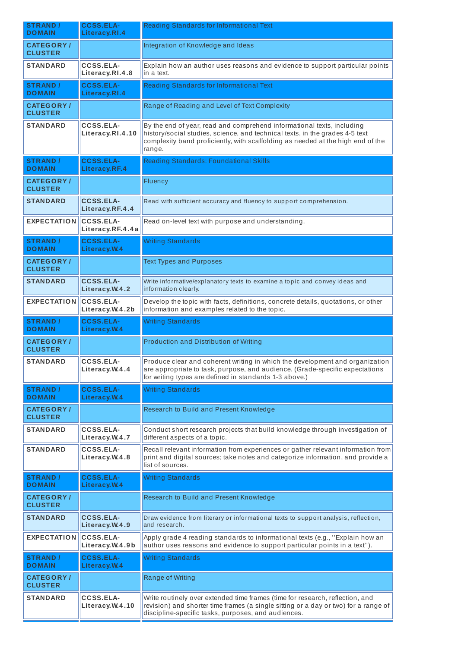| <b>STRAND /</b><br><b>DOMAIN</b>    | <b>CCSS.ELA-</b><br>Literacy.RI.4    | Reading Standards for Informational Text                                                                                                                                                                                                            |  |
|-------------------------------------|--------------------------------------|-----------------------------------------------------------------------------------------------------------------------------------------------------------------------------------------------------------------------------------------------------|--|
| <b>CATEGORY/</b><br><b>CLUSTER</b>  |                                      | Integration of Knowledge and Ideas                                                                                                                                                                                                                  |  |
| <b>STANDARD</b>                     | <b>CCSS.ELA-</b><br>Literacy.RI.4.8  | Explain how an author uses reasons and evidence to support particular points<br>in a text.                                                                                                                                                          |  |
| <b>STRAND /</b><br><b>DOMAIN</b>    | <b>CCSS.ELA-</b><br>Literacy.RI.4    | Reading Standards for Informational Text                                                                                                                                                                                                            |  |
| <b>CATEGORY/</b><br><b>CLUSTER</b>  |                                      | Range of Reading and Level of Text Complexity                                                                                                                                                                                                       |  |
| <b>STANDARD</b>                     | <b>CCSS.ELA-</b><br>Literacy.RI.4.10 | By the end of year, read and comprehend informational texts, including<br>history/social studies, science, and technical texts, in the grades 4-5 text<br>complexity band proficiently, with scaffolding as needed at the high end of the<br>range. |  |
| <b>STRAND /</b><br><b>DOMAIN</b>    | <b>CCSS.ELA-</b><br>Literacy.RF.4    | <b>Reading Standards: Foundational Skills</b>                                                                                                                                                                                                       |  |
| <b>CATEGORY/</b><br><b>CLUSTER</b>  |                                      | Fluency                                                                                                                                                                                                                                             |  |
| <b>STANDARD</b>                     | <b>CCSS.ELA-</b><br>Literacy.RF.4.4  | Read with sufficient accuracy and fluency to support comprehension.                                                                                                                                                                                 |  |
| <b>EXPECTATION</b>                  | <b>CCSS.ELA-</b><br>Literacy.RF.4.4a | Read on-level text with purpose and understanding.                                                                                                                                                                                                  |  |
| <b>STRAND /</b><br><b>DOMAIN</b>    | <b>CCSS.ELA-</b><br>Literacy.W.4     | <b>Writing Standards</b>                                                                                                                                                                                                                            |  |
| <b>CATEGORY/</b><br><b>CLUSTER</b>  |                                      | <b>Text Types and Purposes</b>                                                                                                                                                                                                                      |  |
| <b>STANDARD</b>                     | <b>CCSS.ELA-</b><br>Literacy.W.4.2   | Write informative/explanatory texts to examine a topic and convey ideas and<br>information clearly.                                                                                                                                                 |  |
| <b>EXPECTATION</b>                  | <b>CCSS.ELA-</b><br>Literacy.W.4.2b  | Develop the topic with facts, definitions, concrete details, quotations, or other<br>information and examples related to the topic.                                                                                                                 |  |
| <b>STRAND /</b><br><b>DOMAIN</b>    | <b>CCSS.ELA-</b><br>Literacy.W.4     | <b>Writing Standards</b>                                                                                                                                                                                                                            |  |
| <b>CATEGORY /</b><br><b>CLUSTER</b> |                                      | Production and Distribution of Writing                                                                                                                                                                                                              |  |
| <b>STANDARD</b>                     | <b>CCSS.ELA-</b><br>Literacy.W.4.4   | Produce clear and coherent writing in which the development and organization<br>are appropriate to task, purpose, and audience. (Grade-specific expectations<br>for writing types are defined in standards 1-3 above.)                              |  |
|                                     |                                      |                                                                                                                                                                                                                                                     |  |
| <b>STRAND /</b><br><b>DOMAIN</b>    | <b>CCSS.ELA-</b><br>Literacy.W.4     | <b>Writing Standards</b>                                                                                                                                                                                                                            |  |
| <b>CATEGORY/</b><br><b>CLUSTER</b>  |                                      | Research to Build and Present Knowledge                                                                                                                                                                                                             |  |
| <b>STANDARD</b>                     | <b>CCSS.ELA-</b><br>Literacy.W.4.7   | Conduct short research projects that build knowledge through investigation of<br>different aspects of a topic.                                                                                                                                      |  |
| <b>STANDARD</b>                     | <b>CCSS.ELA-</b><br>Literacy.W.4.8   | Recall relevant information from experiences or gather relevant information from<br>print and digital sources; take notes and categorize information, and provide a<br>list of sources.                                                             |  |
| <b>STRAND /</b><br><b>DOMAIN</b>    | <b>CCSS.ELA-</b><br>Literacy.W.4     | <b>Writing Standards</b>                                                                                                                                                                                                                            |  |
| <b>CATEGORY/</b><br><b>CLUSTER</b>  |                                      | Research to Build and Present Knowledge                                                                                                                                                                                                             |  |
| <b>STANDARD</b>                     | <b>CCSS.ELA-</b><br>Literacy.W.4.9   | Draw evidence from literary or informational texts to support analysis, reflection,<br>and research.                                                                                                                                                |  |
| <b>EXPECTATION</b>                  | <b>CCSS.ELA-</b><br>Literacy.W.4.9b  | Apply grade 4 reading standards to informational texts (e.g., "Explain how an<br>author uses reasons and evidence to support particular points in a text").                                                                                         |  |
| <b>STRAND /</b><br><b>DOMAIN</b>    | <b>CCSS.ELA-</b><br>Literacy.W.4     | <b>Writing Standards</b>                                                                                                                                                                                                                            |  |
| <b>CATEGORY /</b><br><b>CLUSTER</b> |                                      | Range of Writing                                                                                                                                                                                                                                    |  |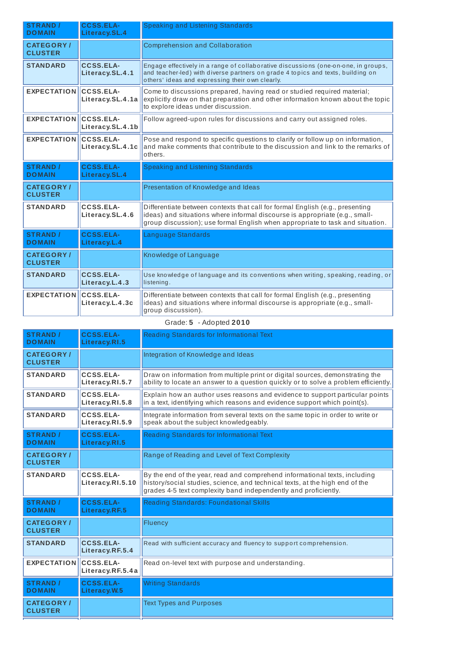| <b>STRAND /</b><br><b>DOMAIN</b>   | <b>CCSS.ELA-</b><br>Literacy.SL.4    | Speaking and Listening Standards                                                                                                                                                                                                              |
|------------------------------------|--------------------------------------|-----------------------------------------------------------------------------------------------------------------------------------------------------------------------------------------------------------------------------------------------|
| <b>CATEGORY/</b><br><b>CLUSTER</b> |                                      | <b>Comprehension and Collaboration</b>                                                                                                                                                                                                        |
| <b>STANDARD</b>                    | <b>CCSS.ELA-</b><br>Literacy.SL.4.1  | Engage effectively in a range of collaborative discussions (one-on-one, in groups,<br>and teacher-led) with diverse partners on grade 4 topics and texts, building on<br>others' ideas and expressing their own clearly.                      |
| <b>EXPECTATION</b>                 | CCSS.ELA-<br>Literacy.SL.4.1a        | Come to discussions prepared, having read or studied required material;<br>explicitly draw on that preparation and other information known about the topic<br>to explore ideas under discussion.                                              |
| <b>EXPECTATION</b>                 | <b>CCSS.ELA-</b><br>Literacy.SL.4.1b | Follow agreed-upon rules for discussions and carry out assigned roles.                                                                                                                                                                        |
| <b>EXPECTATION</b>                 | <b>CCSS.ELA-</b><br>Literacy.SL.4.1c | Pose and respond to specific questions to clarify or follow up on information,<br>and make comments that contribute to the discussion and link to the remarks of<br>others.                                                                   |
| <b>STRAND /</b><br><b>DOMAIN</b>   | <b>CCSS.ELA-</b><br>Literacy.SL.4    | Speaking and Listening Standards                                                                                                                                                                                                              |
| <b>CATEGORY/</b><br><b>CLUSTER</b> |                                      | Presentation of Knowledge and Ideas                                                                                                                                                                                                           |
| <b>STANDARD</b>                    | <b>CCSS.ELA-</b><br>Literacy.SL.4.6  | Differentiate between contexts that call for formal English (e.g., presenting<br>ideas) and situations where informal discourse is appropriate (e.g., small-<br>group discussion); use formal English when appropriate to task and situation. |
| <b>STRAND /</b><br><b>DOMAIN</b>   | <b>CCSS.ELA-</b><br>Literacy.L.4     | Language Standards                                                                                                                                                                                                                            |
| <b>CATEGORY/</b><br><b>CLUSTER</b> |                                      | Knowledge of Language                                                                                                                                                                                                                         |
| <b>STANDARD</b>                    | <b>CCSS.ELA-</b><br>Literacy.L.4.3   | Use knowledge of language and its conventions when writing, speaking, reading, or<br>listening.                                                                                                                                               |
| <b>EXPECTATION</b>                 | <b>CCSS.ELA-</b><br>Literacy.L.4.3c  | Differentiate between contexts that call for formal English (e.g., presenting<br>ideas) and situations where informal discourse is appropriate (e.g., small-<br>group discussion).                                                            |

| Grade: 5 | - Adopted $2010$ |  |
|----------|------------------|--|
|          |                  |  |

| <b>STRAND /</b><br><b>DOMAIN</b>   | <b>CCSS.ELA-</b><br>Literacy.RI.5   | Reading Standards for Informational Text                                                                                                                                                                                      |
|------------------------------------|-------------------------------------|-------------------------------------------------------------------------------------------------------------------------------------------------------------------------------------------------------------------------------|
| <b>CATEGORY/</b><br><b>CLUSTER</b> |                                     | Integration of Knowledge and Ideas                                                                                                                                                                                            |
| <b>STANDARD</b>                    | CCSS.ELA-<br>Literacy.RI.5.7        | Draw on information from multiple print or digital sources, demonstrating the<br>ability to locate an answer to a question quickly or to solve a problem efficiently.                                                         |
| <b>STANDARD</b>                    | <b>CCSS.ELA-</b><br>Literacy.RI.5.8 | Explain how an author uses reasons and evidence to support particular points<br>in a text, identifying which reasons and evidence support which point(s).                                                                     |
| <b>STANDARD</b>                    | CCSS.ELA-<br>Literacy.RI.5.9        | Integrate information from several texts on the same topic in order to write or<br>speak about the subject knowledgeably.                                                                                                     |
| <b>STRAND /</b><br><b>DOMAIN</b>   | <b>CCSS.ELA-</b><br>Literacy.RI.5   | Reading Standards for Informational Text                                                                                                                                                                                      |
| <b>CATEGORY/</b><br><b>CLUSTER</b> |                                     | Range of Reading and Level of Text Complexity                                                                                                                                                                                 |
| <b>STANDARD</b>                    | CCSS.ELA-<br>Literacy.RI.5.10       | By the end of the year, read and comprehend informational texts, including<br>history/social studies, science, and technical texts, at the high end of the<br>grades 4-5 text complexity band independently and proficiently. |
| <b>STRAND /</b><br><b>DOMAIN</b>   | <b>CCSS.ELA-</b><br>Literacy.RF.5   | <b>Reading Standards: Foundational Skills</b>                                                                                                                                                                                 |
| <b>CATEGORY/</b><br><b>CLUSTER</b> |                                     | Fluency                                                                                                                                                                                                                       |
| <b>STANDARD</b>                    | CCSS.ELA-<br>Literacy.RF.5.4        | Read with sufficient accuracy and fluency to support comprehension.                                                                                                                                                           |
| <b>EXPECTATION</b>                 | CCSS.ELA-<br>Literacy.RF.5.4a       | Read on-level text with purpose and understanding.                                                                                                                                                                            |
| <b>STRAND /</b><br><b>DOMAIN</b>   | <b>CCSS.ELA-</b><br>Literacy. W.5   | <b>Writing Standards</b>                                                                                                                                                                                                      |
| <b>CATEGORY/</b><br><b>CLUSTER</b> |                                     | <b>Text Types and Purposes</b>                                                                                                                                                                                                |